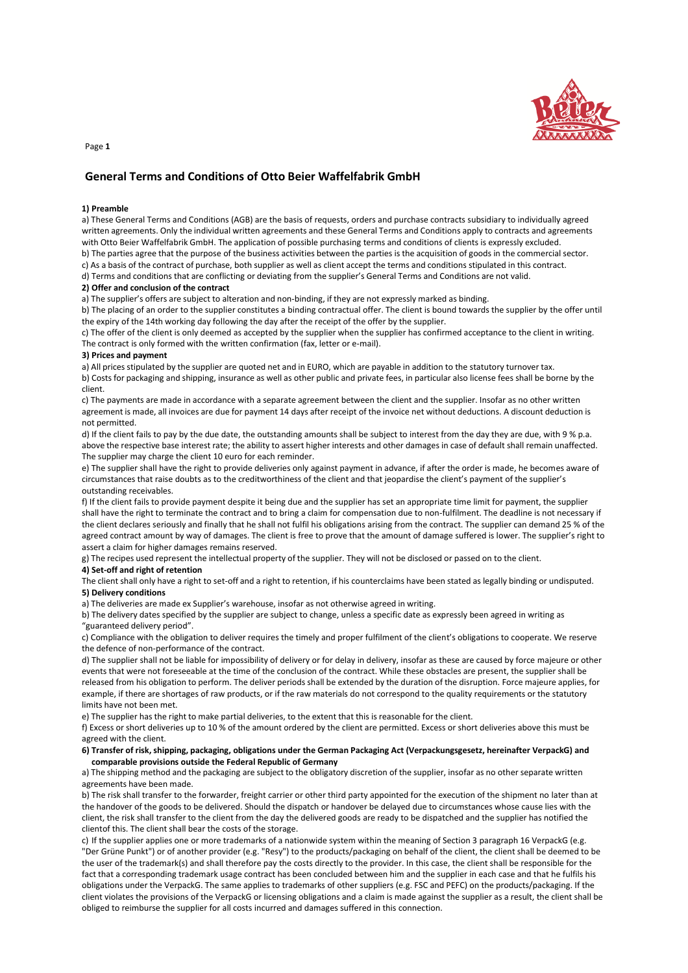

# **General Terms and Conditions of Otto Beier Waffelfabrik GmbH**

#### **1) Preamble**

a) These General Terms and Conditions (AGB) are the basis of requests, orders and purchase contracts subsidiary to individually agreed written agreements. Only the individual written agreements and these General Terms and Conditions apply to contracts and agreements with Otto Beier Waffelfabrik GmbH. The application of possible purchasing terms and conditions of clients is expressly excluded.

b) The parties agree that the purpose of the business activities between the parties is the acquisition of goods in the commercial sector.

c) As a basis of the contract of purchase, both supplier as well as client accept the terms and conditions stipulated in this contract.

d) Terms and conditions that are conflicting or deviating from the supplier's General Terms and Conditions are not valid.

# **2) Offer and conclusion of the contract**

a) The supplier's offers are subject to alteration and non-binding, if they are not expressly marked as binding.

b) The placing of an order to the supplier constitutes a binding contractual offer. The client is bound towards the supplier by the offer until the expiry of the 14th working day following the day after the receipt of the offer by the supplier.

c) The offer of the client is only deemed as accepted by the supplier when the supplier has confirmed acceptance to the client in writing. The contract is only formed with the written confirmation (fax, letter or e-mail).

#### **3) Prices and payment**

a) All prices stipulated by the supplier are quoted net and in EURO, which are payable in addition to the statutory turnover tax.

b) Costs for packaging and shipping, insurance as well as other public and private fees, in particular also license fees shall be borne by the client.

c) The payments are made in accordance with a separate agreement between the client and the supplier. Insofar as no other written agreement is made, all invoices are due for payment 14 days after receipt of the invoice net without deductions. A discount deduction is not permitted.

d) If the client fails to pay by the due date, the outstanding amounts shall be subject to interest from the day they are due, with 9 % p.a. above the respective base interest rate; the ability to assert higher interests and other damages in case of default shall remain unaffected. The supplier may charge the client 10 euro for each reminder.

e) The supplier shall have the right to provide deliveries only against payment in advance, if after the order is made, he becomes aware of circumstances that raise doubts as to the creditworthiness of the client and that jeopardise the client's payment of the supplier's outstanding receivables.

f) If the client fails to provide payment despite it being due and the supplier has set an appropriate time limit for payment, the supplier shall have the right to terminate the contract and to bring a claim for compensation due to non-fulfilment. The deadline is not necessary if the client declares seriously and finally that he shall not fulfil his obligations arising from the contract. The supplier can demand 25 % of the agreed contract amount by way of damages. The client is free to prove that the amount of damage suffered is lower. The supplier's right to assert a claim for higher damages remains reserved.

g) The recipes used represent the intellectual property of the supplier. They will not be disclosed or passed on to the client.

#### **4) Set-off and right of retention**

The client shall only have a right to set-off and a right to retention, if his counterclaims have been stated as legally binding or undisputed. **5) Delivery conditions**

a) The deliveries are made ex Supplier's warehouse, insofar as not otherwise agreed in writing.

b) The delivery dates specified by the supplier are subject to change, unless a specific date as expressly been agreed in writing as "guaranteed delivery period".

c) Compliance with the obligation to deliver requires the timely and proper fulfilment of the client's obligations to cooperate. We reserve the defence of non-performance of the contract.

d) The supplier shall not be liable for impossibility of delivery or for delay in delivery, insofar as these are caused by force majeure or other events that were not foreseeable at the time of the conclusion of the contract. While these obstacles are present, the supplier shall be released from his obligation to perform. The deliver periods shall be extended by the duration of the disruption. Force majeure applies, for example, if there are shortages of raw products, or if the raw materials do not correspond to the quality requirements or the statutory limits have not been met.

e) The supplier has the right to make partial deliveries, to the extent that this is reasonable for the client.

f) Excess or short deliveries up to 10 % of the amount ordered by the client are permitted. Excess or short deliveries above this must be agreed with the client.

### **6) Transfer of risk, shipping, packaging, obligations under the German Packaging Act (Verpackungsgesetz, hereinafter VerpackG) and comparable provisions outside the Federal Republic of Germany**

a) The shipping method and the packaging are subject to the obligatory discretion of the supplier, insofar as no other separate written agreements have been made.

b) The risk shall transfer to the forwarder, freight carrier or other third party appointed for the execution of the shipment no later than at the handover of the goods to be delivered. Should the dispatch or handover be delayed due to circumstances whose cause lies with the client, the risk shall transfer to the client from the day the delivered goods are ready to be dispatched and the supplier has notified the clientof this. The client shall bear the costs of the storage.

c) If the supplier applies one or more trademarks of a nationwide system within the meaning of Section 3 paragraph 16 VerpackG (e.g. "Der Grüne Punkt") or of another provider (e.g. "Resy") to the products/packaging on behalf of the client, the client shall be deemed to be the user of the trademark(s) and shall therefore pay the costs directly to the provider. In this case, the client shall be responsible for the fact that a corresponding trademark usage contract has been concluded between him and the supplier in each case and that he fulfils his obligations under the VerpackG. The same applies to trademarks of other suppliers (e.g. FSC and PEFC) on the products/packaging. If the client violates the provisions of the VerpackG or licensing obligations and a claim is made against the supplier as a result, the client shall be obliged to reimburse the supplier for all costs incurred and damages suffered in this connection.

Page **1**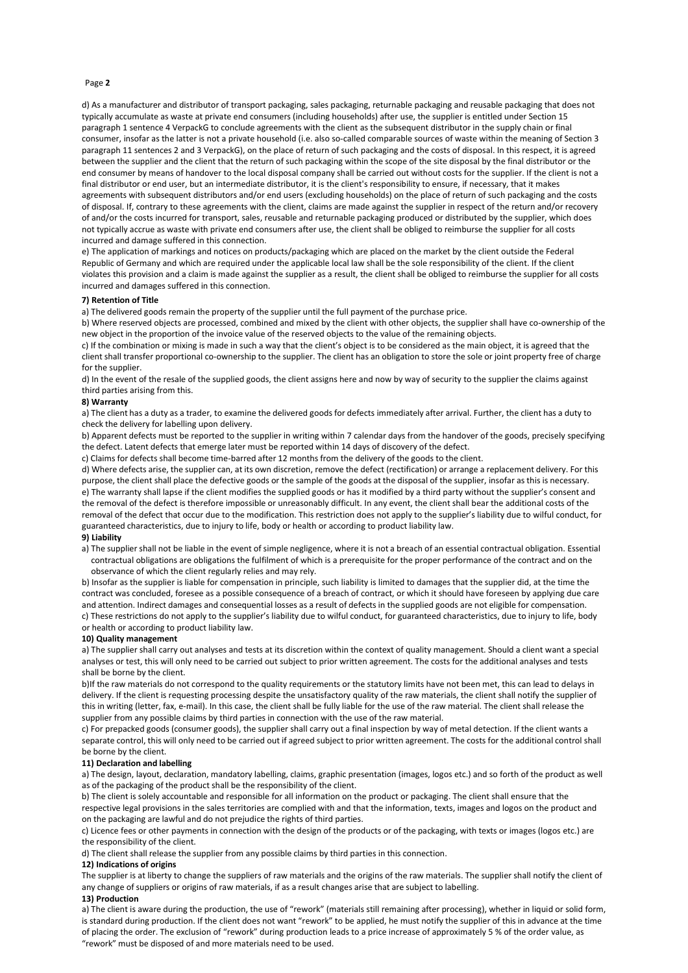# Page **2**

d) As a manufacturer and distributor of transport packaging, sales packaging, returnable packaging and reusable packaging that does not typically accumulate as waste at private end consumers (including households) after use, the supplier is entitled under Section 15 paragraph 1 sentence 4 VerpackG to conclude agreements with the client as the subsequent distributor in the supply chain or final consumer, insofar as the latter is not a private household (i.e. also so-called comparable sources of waste within the meaning of Section 3 paragraph 11 sentences 2 and 3 VerpackG), on the place of return of such packaging and the costs of disposal. In this respect, it is agreed between the supplier and the client that the return of such packaging within the scope of the site disposal by the final distributor or the end consumer by means of handover to the local disposal company shall be carried out without costs for the supplier. If the client is not a final distributor or end user, but an intermediate distributor, it is the client's responsibility to ensure, if necessary, that it makes agreements with subsequent distributors and/or end users (excluding households) on the place of return of such packaging and the costs of disposal. If, contrary to these agreements with the client, claims are made against the supplier in respect of the return and/or recovery of and/or the costs incurred for transport, sales, reusable and returnable packaging produced or distributed by the supplier, which does not typically accrue as waste with private end consumers after use, the client shall be obliged to reimburse the supplier for all costs incurred and damage suffered in this connection.

e) The application of markings and notices on products/packaging which are placed on the market by the client outside the Federal Republic of Germany and which are required under the applicable local law shall be the sole responsibility of the client. If the client violates this provision and a claim is made against the supplier as a result, the client shall be obliged to reimburse the supplier for all costs incurred and damages suffered in this connection.

# **7) Retention of Title**

a) The delivered goods remain the property of the supplier until the full payment of the purchase price.

b) Where reserved objects are processed, combined and mixed by the client with other objects, the supplier shall have co-ownership of the new object in the proportion of the invoice value of the reserved objects to the value of the remaining objects.

c) If the combination or mixing is made in such a way that the client's object is to be considered as the main object, it is agreed that the client shall transfer proportional co-ownership to the supplier. The client has an obligation to store the sole or joint property free of charge for the supplier.

d) In the event of the resale of the supplied goods, the client assigns here and now by way of security to the supplier the claims against third parties arising from this.

# **8) Warranty**

a) The client has a duty as a trader, to examine the delivered goods for defects immediately after arrival. Further, the client has a duty to check the delivery for labelling upon delivery.

b) Apparent defects must be reported to the supplier in writing within 7 calendar days from the handover of the goods, precisely specifying the defect. Latent defects that emerge later must be reported within 14 days of discovery of the defect.

c) Claims for defects shall become time-barred after 12 months from the delivery of the goods to the client.

d) Where defects arise, the supplier can, at its own discretion, remove the defect (rectification) or arrange a replacement delivery. For this purpose, the client shall place the defective goods or the sample of the goods at the disposal of the supplier, insofar as this is necessary. e) The warranty shall lapse if the client modifies the supplied goods or has it modified by a third party without the supplier's consent and the removal of the defect is therefore impossible or unreasonably difficult. In any event, the client shall bear the additional costs of the removal of the defect that occur due to the modification. This restriction does not apply to the supplier's liability due to wilful conduct, for guaranteed characteristics, due to injury to life, body or health or according to product liability law.

# **9) Liability**

a) The supplier shall not be liable in the event of simple negligence, where it is not a breach of an essential contractual obligation. Essential contractual obligations are obligations the fulfilment of which is a prerequisite for the proper performance of the contract and on the observance of which the client regularly relies and may rely.

b) Insofar as the supplier is liable for compensation in principle, such liability is limited to damages that the supplier did, at the time the contract was concluded, foresee as a possible consequence of a breach of contract, or which it should have foreseen by applying due care and attention. Indirect damages and consequential losses as a result of defects in the supplied goods are not eligible for compensation. c) These restrictions do not apply to the supplier's liability due to wilful conduct, for guaranteed characteristics, due to injury to life, body or health or according to product liability law.

#### **10) Quality management**

a) The supplier shall carry out analyses and tests at its discretion within the context of quality management. Should a client want a special analyses or test, this will only need to be carried out subject to prior written agreement. The costs for the additional analyses and tests shall be borne by the client.

b)If the raw materials do not correspond to the quality requirements or the statutory limits have not been met, this can lead to delays in delivery. If the client is requesting processing despite the unsatisfactory quality of the raw materials, the client shall notify the supplier of this in writing (letter, fax, e-mail). In this case, the client shall be fully liable for the use of the raw material. The client shall release the supplier from any possible claims by third parties in connection with the use of the raw material.

c) For prepacked goods (consumer goods), the supplier shall carry out a final inspection by way of metal detection. If the client wants a separate control, this will only need to be carried out if agreed subject to prior written agreement. The costs for the additional control shall be borne by the client.

#### **11) Declaration and labelling**

a) The design, layout, declaration, mandatory labelling, claims, graphic presentation (images, logos etc.) and so forth of the product as well as of the packaging of the product shall be the responsibility of the client.

b) The client is solely accountable and responsible for all information on the product or packaging. The client shall ensure that the respective legal provisions in the sales territories are complied with and that the information, texts, images and logos on the product and on the packaging are lawful and do not prejudice the rights of third parties.

c) Licence fees or other payments in connection with the design of the products or of the packaging, with texts or images (logos etc.) are the responsibility of the client.

d) The client shall release the supplier from any possible claims by third parties in this connection.

#### **12) Indications of origins**

The supplier is at liberty to change the suppliers of raw materials and the origins of the raw materials. The supplier shall notify the client of any change of suppliers or origins of raw materials, if as a result changes arise that are subject to labelling.

#### **13) Production**

a) The client is aware during the production, the use of "rework" (materials still remaining after processing), whether in liquid or solid form, is standard during production. If the client does not want "rework" to be applied, he must notify the supplier of this in advance at the time of placing the order. The exclusion of "rework" during production leads to a price increase of approximately 5 % of the order value, as "rework" must be disposed of and more materials need to be used.